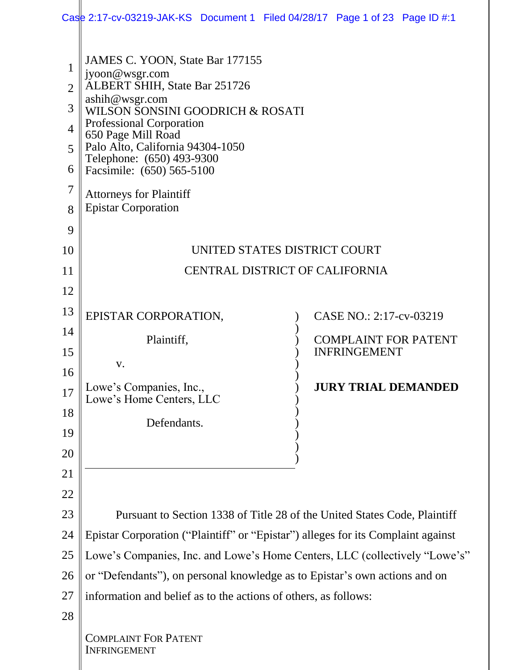|                                                                             | Case 2:17-cv-03219-JAK-KS Document 1 Filed 04/28/17 Page 1 of 23 Page ID #:1                                                                                                                                                                                                                                                                                    |                                                                           |  |  |  |
|-----------------------------------------------------------------------------|-----------------------------------------------------------------------------------------------------------------------------------------------------------------------------------------------------------------------------------------------------------------------------------------------------------------------------------------------------------------|---------------------------------------------------------------------------|--|--|--|
| 1<br>$\overline{2}$<br>3<br>$\overline{4}$<br>5<br>6<br>$\overline{7}$<br>8 | JAMES C. YOON, State Bar 177155<br>jyoon@wsgr.com<br>ALBERT SHIH, State Bar 251726<br>ashih@wsgr.com<br>WILSON SONSINI GOODRICH & ROSATI<br><b>Professional Corporation</b><br>650 Page Mill Road<br>Palo Alto, California 94304-1050<br>Telephone: (650) 493-9300<br>Facsimile: (650) 565-5100<br><b>Attorneys for Plaintiff</b><br><b>Epistar Corporation</b> |                                                                           |  |  |  |
| 9                                                                           |                                                                                                                                                                                                                                                                                                                                                                 |                                                                           |  |  |  |
| 10                                                                          | UNITED STATES DISTRICT COURT                                                                                                                                                                                                                                                                                                                                    |                                                                           |  |  |  |
| 11                                                                          | <b>CENTRAL DISTRICT OF CALIFORNIA</b>                                                                                                                                                                                                                                                                                                                           |                                                                           |  |  |  |
| 12                                                                          |                                                                                                                                                                                                                                                                                                                                                                 |                                                                           |  |  |  |
| 13                                                                          | EPISTAR CORPORATION,                                                                                                                                                                                                                                                                                                                                            | CASE NO.: 2:17-cv-03219                                                   |  |  |  |
| 14                                                                          | Plaintiff,                                                                                                                                                                                                                                                                                                                                                      | <b>COMPLAINT FOR PATENT</b>                                               |  |  |  |
| 15                                                                          | V.                                                                                                                                                                                                                                                                                                                                                              | <b>INFRINGEMENT</b>                                                       |  |  |  |
| 16                                                                          |                                                                                                                                                                                                                                                                                                                                                                 |                                                                           |  |  |  |
| 17                                                                          | Lowe's Companies, Inc.,<br>Lowe's Home Centers, LLC                                                                                                                                                                                                                                                                                                             | <b>JURY TRIAL DEMANDED</b>                                                |  |  |  |
| 18                                                                          | Defendants.                                                                                                                                                                                                                                                                                                                                                     |                                                                           |  |  |  |
| 19                                                                          |                                                                                                                                                                                                                                                                                                                                                                 |                                                                           |  |  |  |
| 20                                                                          |                                                                                                                                                                                                                                                                                                                                                                 |                                                                           |  |  |  |
| 21                                                                          |                                                                                                                                                                                                                                                                                                                                                                 |                                                                           |  |  |  |
| 22                                                                          |                                                                                                                                                                                                                                                                                                                                                                 |                                                                           |  |  |  |
| 23                                                                          |                                                                                                                                                                                                                                                                                                                                                                 | Pursuant to Section 1338 of Title 28 of the United States Code, Plaintiff |  |  |  |
| 24                                                                          | Epistar Corporation ("Plaintiff" or "Epistar") alleges for its Complaint against                                                                                                                                                                                                                                                                                |                                                                           |  |  |  |
| 25                                                                          | Lowe's Companies, Inc. and Lowe's Home Centers, LLC (collectively "Lowe's"                                                                                                                                                                                                                                                                                      |                                                                           |  |  |  |
| 26                                                                          | or "Defendants"), on personal knowledge as to Epistar's own actions and on                                                                                                                                                                                                                                                                                      |                                                                           |  |  |  |
| 27                                                                          | information and belief as to the actions of others, as follows:                                                                                                                                                                                                                                                                                                 |                                                                           |  |  |  |
| 28                                                                          |                                                                                                                                                                                                                                                                                                                                                                 |                                                                           |  |  |  |
|                                                                             | <b>COMPLAINT FOR PATENT</b><br><b>INFRINGEMENT</b>                                                                                                                                                                                                                                                                                                              |                                                                           |  |  |  |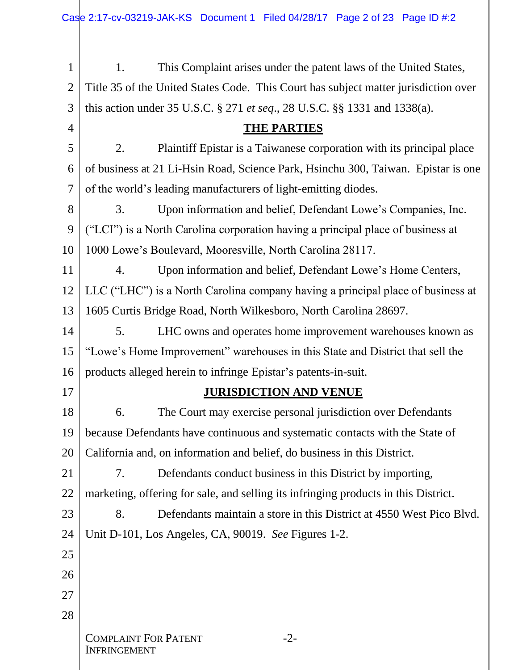1 2 3 4 5 6 7 8 9 10 11 12 13 14 15 16 17 18 19 20 21 22 23 24 25 26 27 28 COMPLAINT FOR PATENT INFRINGEMENT -2- 1. This Complaint arises under the patent laws of the United States, Title 35 of the United States Code. This Court has subject matter jurisdiction over this action under 35 U.S.C. § 271 *et seq*., 28 U.S.C. §§ 1331 and 1338(a). **THE PARTIES** 2. Plaintiff Epistar is a Taiwanese corporation with its principal place of business at 21 Li-Hsin Road, Science Park, Hsinchu 300, Taiwan. Epistar is one of the world's leading manufacturers of light-emitting diodes. 3. Upon information and belief, Defendant Lowe's Companies, Inc. ("LCI") is a North Carolina corporation having a principal place of business at 1000 Lowe's Boulevard, Mooresville, North Carolina 28117. 4. Upon information and belief, Defendant Lowe's Home Centers, LLC ("LHC") is a North Carolina company having a principal place of business at 1605 Curtis Bridge Road, North Wilkesboro, North Carolina 28697. 5. LHC owns and operates home improvement warehouses known as "Lowe's Home Improvement" warehouses in this State and District that sell the products alleged herein to infringe Epistar's patents-in-suit. **JURISDICTION AND VENUE** 6. The Court may exercise personal jurisdiction over Defendants because Defendants have continuous and systematic contacts with the State of California and, on information and belief, do business in this District. 7. Defendants conduct business in this District by importing, marketing, offering for sale, and selling its infringing products in this District. 8. Defendants maintain a store in this District at 4550 West Pico Blvd. Unit D-101, Los Angeles, CA, 90019. *See* Figures 1-2.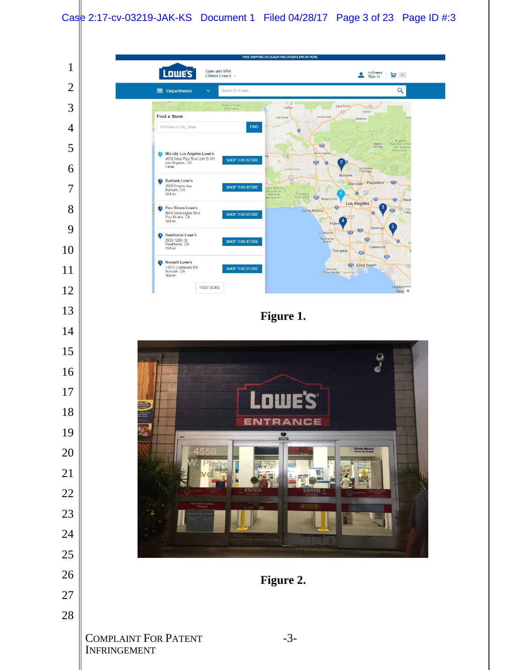#### Case 2:17-cv-03219-JAK-KS Document 1 Filed 04/28/17 Page 3 of 23 Page ID #:3

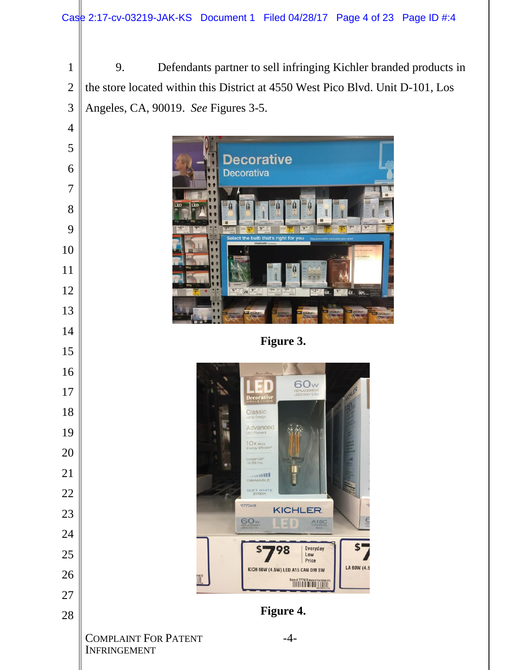9. Defendants partner to sell infringing Kichler branded products in the store located within this District at 4550 West Pico Blvd. Unit D-101, Los Angeles, CA, 90019. *See* Figures 3-5.

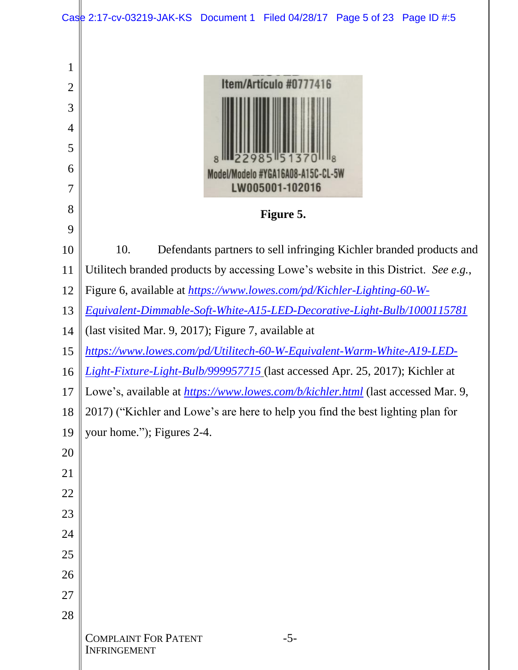|                                                                        | Case 2:17-cv-03219-JAK-KS Document 1 Filed 04/28/17 Page 5 of 23 Page ID #:5        |  |  |
|------------------------------------------------------------------------|-------------------------------------------------------------------------------------|--|--|
| 1<br>$\overline{2}$<br>3<br>$\overline{4}$<br>5<br>6<br>$\overline{7}$ | Item/Artículo #0777416<br>Model/Modelo #YGA16A08-A15C-CL-5W<br>LW005001-102016      |  |  |
| 8                                                                      | Figure 5.                                                                           |  |  |
| 9<br>10                                                                | 10.<br>Defendants partners to sell infringing Kichler branded products and          |  |  |
| 11                                                                     | Utilitech branded products by accessing Lowe's website in this District. See e.g.,  |  |  |
| 12                                                                     | Figure 6, available at https://www.lowes.com/pd/Kichler-Lighting-60-W-              |  |  |
| 13                                                                     | Equivalent-Dimmable-Soft-White-A15-LED-Decorative-Light-Bulb/1000115781             |  |  |
| 14                                                                     | (last visited Mar. 9, 2017); Figure 7, available at                                 |  |  |
| 15                                                                     | https://www.lowes.com/pd/Utilitech-60-W-Equivalent-Warm-White-A19-LED-              |  |  |
| 16                                                                     | <i>Light-Fixture-Light-Bulb/999957715</i> (last accessed Apr. 25, 2017); Kichler at |  |  |
| 17                                                                     | Lowe's, available at https://www.lowes.com/b/kichler.html (last accessed Mar. 9,    |  |  |
| 18                                                                     | 2017) ("Kichler and Lowe's are here to help you find the best lighting plan for     |  |  |
| 19                                                                     | your home."); Figures 2-4.                                                          |  |  |
| 20                                                                     |                                                                                     |  |  |
| 21                                                                     |                                                                                     |  |  |
| 22                                                                     |                                                                                     |  |  |
| 23                                                                     |                                                                                     |  |  |
| 24                                                                     |                                                                                     |  |  |
| 25                                                                     |                                                                                     |  |  |
| 26                                                                     |                                                                                     |  |  |
| 27                                                                     |                                                                                     |  |  |
| 28                                                                     | <b>COMPLAINT FOR PATENT</b><br>$-5-$<br><b>INFRINGEMENT</b>                         |  |  |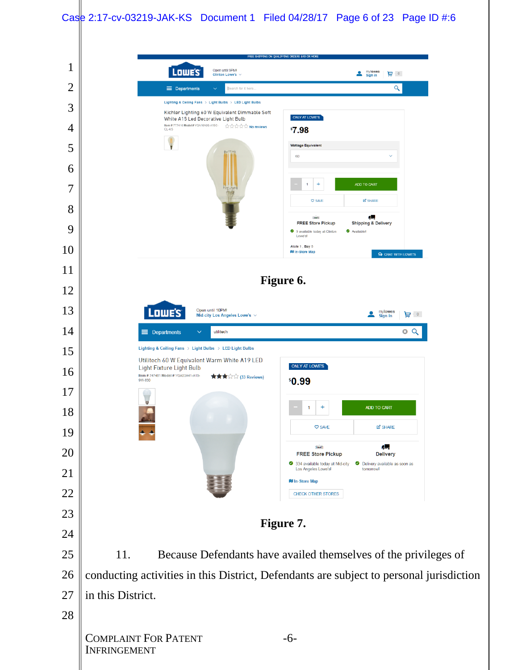## Case 2:17-cv-03219-JAK-KS Document 1 Filed 04/28/17 Page 6 of 23 Page ID #:6

| 1              | FREE SHIPPING ON QUALIFYING ORDERS \$49 OR MORE<br>Open until 9PM                                                                                                                          |
|----------------|--------------------------------------------------------------------------------------------------------------------------------------------------------------------------------------------|
| $\overline{2}$ | Lowe's<br>mylowes<br>$\frac{1}{\text{Sign in}}$<br>⊌ ਦ<br>Clinton Lowe's $\vee$<br>Q<br>$\equiv$ Departments<br>Search for it here.<br>$\checkmark$                                        |
| 3              | Lighting & Ceiling Fans > Light Bulbs > LED Light Bulbs                                                                                                                                    |
| 4              | Kichler Lighting 60 W Equivalent Dimmable Soft<br>ONLY AT LOWE'S<br>White A15 Led Decorative Light Bulb<br>Item # 777416 Model # YGA16AD8-A15C-<br>Federal Profiled Park <b>No reviews</b> |
| 5              | <b>'7.98</b><br>$CL-4.5$<br><b>Wattage Equivalent</b>                                                                                                                                      |
|                | 60                                                                                                                                                                                         |
| 6<br>7         | ADD TO CART<br>÷                                                                                                                                                                           |
|                | <b>E</b> SHARE<br><b>C SAVE</b>                                                                                                                                                            |
| 8              | Æ.<br>Lours)<br><b>FREE Store Pickup</b><br><b>Shipping &amp; Delivery</b>                                                                                                                 |
| 9              | Available!<br>9 available today at Clinton<br>Lowe's!<br>Aisle 1, Bay 8                                                                                                                    |
| 10             | <b>RI In-Store Map</b><br><b>Q</b> CHAT WITH LOWE'S                                                                                                                                        |
| 11             | Figure 6.                                                                                                                                                                                  |
| 12             |                                                                                                                                                                                            |
| 13             | Lowe's<br>Open until 10PM!<br>mylowes<br>Sign in<br>≗<br>ਦ ਼<br>Mid-city Los Angeles Lowe's $\vee$                                                                                         |
| 14             | 0 Q<br>$\equiv$ Departments<br>$\checkmark$<br>utilitech<br>Lighting & Ceiling Fans > Light Bulbs > LED Light Bulbs                                                                        |
| 15             | Utilitech 60 W Equivalent Warm White A19 LED<br>ONLY AT LOWE'S<br>Light Fixture Light Bulb                                                                                                 |
| 16             | Item #747481 Model # YGA03A41-A19-<br>★★★☆☆ (33 Reviews)<br>\$0.99<br>9W-830                                                                                                               |
| 17             | ₩<br>$\ddot{}$                                                                                                                                                                             |
| 18             | ADD TO CART<br>1<br><b>V SAVE</b><br><b>E'</b> SHARE                                                                                                                                       |
| 19             |                                                                                                                                                                                            |
| 20             | 4.<br>Lours<br><b>FREE Store Pickup</b><br><b>Delivery</b><br>334 available today at Mid-city<br>Delivery available as soon as                                                             |
| 21             | Los Angeles Lowe's!<br>tomorrow!<br><b>IV In-Store Map</b>                                                                                                                                 |
| 22             | <b>CHECK OTHER STORES</b>                                                                                                                                                                  |
| 23             | Figure 7.                                                                                                                                                                                  |
| 24             |                                                                                                                                                                                            |
| 25             | 11.<br>Because Defendants have availed themselves of the privileges of                                                                                                                     |
| 26             | conducting activities in this District, Defendants are subject to personal jurisdiction                                                                                                    |
| 27             | in this District.                                                                                                                                                                          |
| 28             |                                                                                                                                                                                            |
|                | <b>COMPLAINT FOR PATENT</b><br>$-6-$<br><b>INFRINGEMENT</b>                                                                                                                                |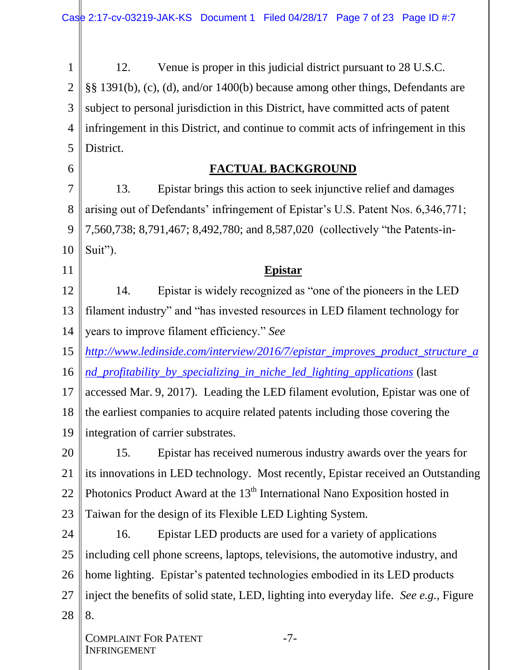1 2 3 4 5 12. Venue is proper in this judicial district pursuant to 28 U.S.C. §§ 1391(b), (c), (d), and/or 1400(b) because among other things, Defendants are subject to personal jurisdiction in this District, have committed acts of patent infringement in this District, and continue to commit acts of infringement in this District.

## **FACTUAL BACKGROUND**

7 8 9 10 13. Epistar brings this action to seek injunctive relief and damages arising out of Defendants' infringement of Epistar's U.S. Patent Nos. 6,346,771; 7,560,738; 8,791,467; 8,492,780; and 8,587,020 (collectively "the Patents-in-Suit").

#### **Epistar**

12 13 14 14. Epistar is widely recognized as "one of the pioneers in the LED filament industry" and "has invested resources in LED filament technology for years to improve filament efficiency." *See*

15 *[http://www.ledinside.com/interview/2016/7/epistar\\_improves\\_product\\_structure\\_a](http://www.ledinside.com/interview/2016/7/epistar_improves_product_structure_and_profitability_by_specializing_in_niche_led_lighting_applications)*

16 *[nd\\_profitability\\_by\\_specializing\\_in\\_niche\\_led\\_lighting\\_applications](http://www.ledinside.com/interview/2016/7/epistar_improves_product_structure_and_profitability_by_specializing_in_niche_led_lighting_applications)* (last

17 18 19 accessed Mar. 9, 2017). Leading the LED filament evolution, Epistar was one of the earliest companies to acquire related patents including those covering the integration of carrier substrates.

20 21 22 23 15. Epistar has received numerous industry awards over the years for its innovations in LED technology. Most recently, Epistar received an Outstanding Photonics Product Award at the  $13<sup>th</sup>$  International Nano Exposition hosted in Taiwan for the design of its Flexible LED Lighting System.

24 25 26 27 28 16. Epistar LED products are used for a variety of applications including cell phone screens, laptops, televisions, the automotive industry, and home lighting. Epistar's patented technologies embodied in its LED products inject the benefits of solid state, LED, lighting into everyday life. *See e.g.*, Figure 8.

6

11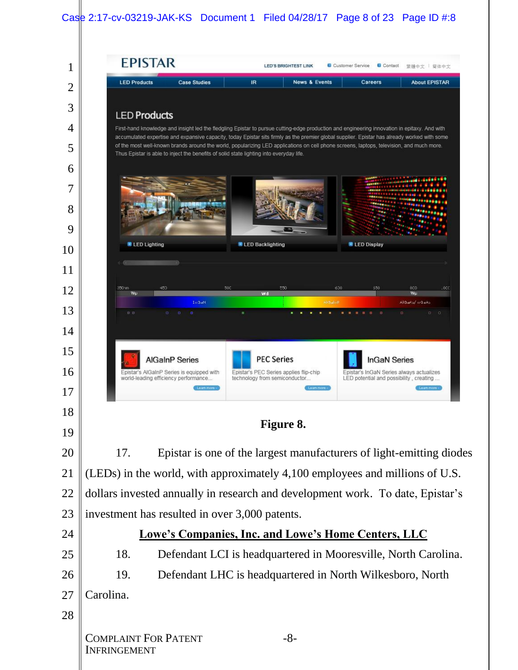## Case 2:17-cv-03219-JAK-KS Document 1 Filed 04/28/17 Page 8 of 23 Page ID  $\#3$

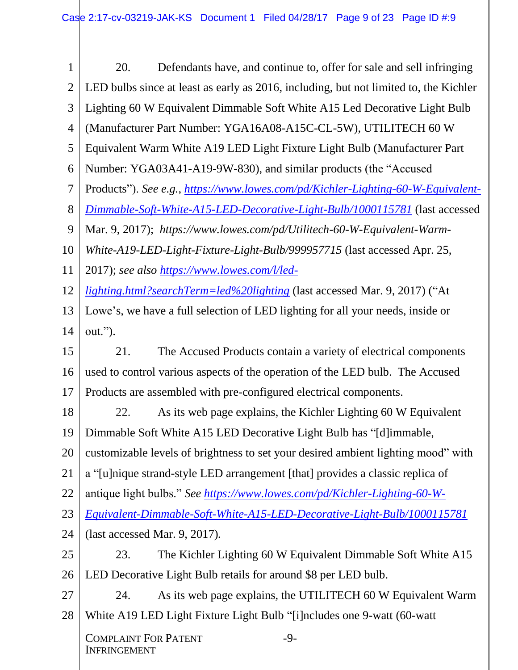1 2 3 4 5 6 7 8 9 10 11 12 13 14 15 16 17 18 19 20 21 22 23 24 25 26 27 28 COMPLAINT FOR PATENT INFRINGEMENT -9- 20. Defendants have, and continue to, offer for sale and sell infringing LED bulbs since at least as early as 2016, including, but not limited to, the Kichler Lighting 60 W Equivalent Dimmable Soft White A15 Led Decorative Light Bulb (Manufacturer Part Number: YGA16A08-A15C-CL-5W), UTILITECH 60 W Equivalent Warm White A19 LED Light Fixture Light Bulb (Manufacturer Part Number: YGA03A41-A19-9W-830), and similar products (the "Accused Products"). *See e.g.*, *[https://www.lowes.com/pd/Kichler-Lighting-60-W-Equivalent-](https://www.lowes.com/pd/Kichler-Lighting-60-W-Equivalent-Dimmable-Soft-White-A15-LED-Decorative-Light-Bulb/1000115781)[Dimmable-Soft-White-A15-LED-Decorative-Light-Bulb/1000115781](https://www.lowes.com/pd/Kichler-Lighting-60-W-Equivalent-Dimmable-Soft-White-A15-LED-Decorative-Light-Bulb/1000115781)* (last accessed Mar. 9, 2017); *https://www.lowes.com/pd/Utilitech-60-W-Equivalent-Warm-White-A19-LED-Light-Fixture-Light-Bulb/999957715* (last accessed Apr. 25, 2017); *see also [https://www.lowes.com/l/led](https://www.lowes.com/l/led-lighting.html?searchTerm=led%20lighting)[lighting.html?searchTerm=led%20lighting](https://www.lowes.com/l/led-lighting.html?searchTerm=led%20lighting)* (last accessed Mar. 9, 2017) ("At Lowe's, we have a full selection of LED lighting for all your needs, inside or out."). 21. The Accused Products contain a variety of electrical components used to control various aspects of the operation of the LED bulb. The Accused Products are assembled with pre-configured electrical components. 22. As its web page explains, the Kichler Lighting 60 W Equivalent Dimmable Soft White A15 LED Decorative Light Bulb has "[d]immable, customizable levels of brightness to set your desired ambient lighting mood" with a "[u]nique strand-style LED arrangement [that] provides a classic replica of antique light bulbs." *See [https://www.lowes.com/pd/Kichler-Lighting-60-W-](https://www.lowes.com/pd/Kichler-Lighting-60-W-Equivalent-Dimmable-Soft-White-A15-LED-Decorative-Light-Bulb/1000115781)[Equivalent-Dimmable-Soft-White-A15-LED-Decorative-Light-Bulb/1000115781](https://www.lowes.com/pd/Kichler-Lighting-60-W-Equivalent-Dimmable-Soft-White-A15-LED-Decorative-Light-Bulb/1000115781)* (last accessed Mar. 9, 2017)*.* 23. The Kichler Lighting 60 W Equivalent Dimmable Soft White A15 LED Decorative Light Bulb retails for around \$8 per LED bulb. 24. As its web page explains, the UTILITECH 60 W Equivalent Warm White A19 LED Light Fixture Light Bulb "[i]ncludes one 9-watt (60-watt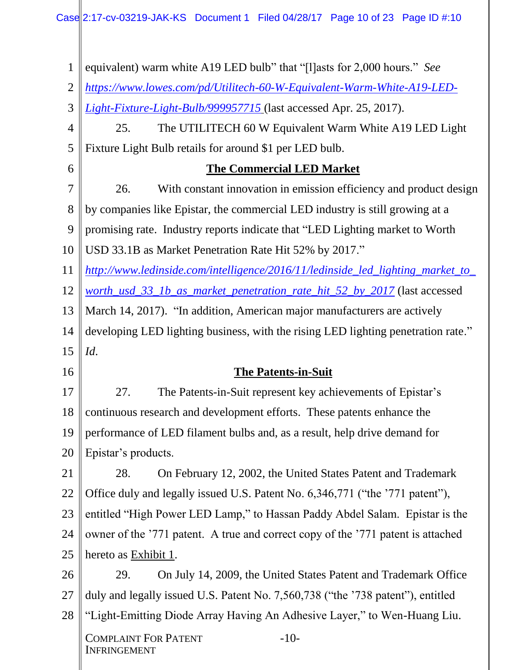1 2 3 4 5 6 7 8 9 10 11 12 13 14 15 16 17 18 19 20 21 22 23 24 25 26 27 28 COMPLAINT FOR PATENT INFRINGEMENT -10 equivalent) warm white A19 LED bulb" that "[l]asts for 2,000 hours." *See [https://www.lowes.com/pd/Utilitech-60-W-Equivalent-Warm-White-A19-LED-](https://www.lowes.com/pd/Utilitech-60-W-Equivalent-Warm-White-A19-LED-Light-Fixture-Light-Bulb/999957715)[Light-Fixture-Light-Bulb/999957715](https://www.lowes.com/pd/Utilitech-60-W-Equivalent-Warm-White-A19-LED-Light-Fixture-Light-Bulb/999957715)* (last accessed Apr. 25, 2017). 25. The UTILITECH 60 W Equivalent Warm White A19 LED Light Fixture Light Bulb retails for around \$1 per LED bulb. **The Commercial LED Market** 26. With constant innovation in emission efficiency and product design by companies like Epistar, the commercial LED industry is still growing at a promising rate. Industry reports indicate that "LED Lighting market to Worth USD 33.1B as Market Penetration Rate Hit 52% by 2017." *[http://www.ledinside.com/intelligence/2016/11/ledinside\\_led\\_lighting\\_market\\_to\\_](http://www.ledinside.com/intelligence/2016/11/ledinside_led_lighting_market_to_worth_usd_33_1b_as_market_penetration_rate_hit_52_by_2017) [worth\\_usd\\_33\\_1b\\_as\\_market\\_penetration\\_rate\\_hit\\_52\\_by\\_2017](http://www.ledinside.com/intelligence/2016/11/ledinside_led_lighting_market_to_worth_usd_33_1b_as_market_penetration_rate_hit_52_by_2017)* (last accessed March 14, 2017). "In addition, American major manufacturers are actively developing LED lighting business, with the rising LED lighting penetration rate." *Id*. **The Patents-in-Suit** 27. The Patents-in-Suit represent key achievements of Epistar's continuous research and development efforts. These patents enhance the performance of LED filament bulbs and, as a result, help drive demand for Epistar's products. 28. On February 12, 2002, the United States Patent and Trademark Office duly and legally issued U.S. Patent No. 6,346,771 ("the '771 patent"), entitled "High Power LED Lamp," to Hassan Paddy Abdel Salam. Epistar is the owner of the '771 patent. A true and correct copy of the '771 patent is attached hereto as Exhibit 1. 29. On July 14, 2009, the United States Patent and Trademark Office duly and legally issued U.S. Patent No. 7,560,738 ("the '738 patent"), entitled "Light-Emitting Diode Array Having An Adhesive Layer," to Wen-Huang Liu.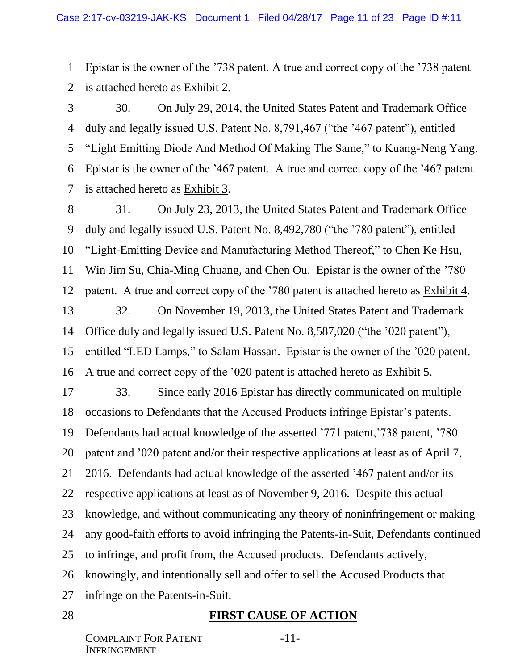1 2 Epistar is the owner of the '738 patent. A true and correct copy of the '738 patent is attached hereto as Exhibit 2.

3 4 5 6 7 30. On July 29, 2014, the United States Patent and Trademark Office duly and legally issued U.S. Patent No. 8,791,467 ("the '467 patent"), entitled "Light Emitting Diode And Method Of Making The Same," to Kuang-Neng Yang. Epistar is the owner of the '467 patent. A true and correct copy of the '467 patent is attached hereto as Exhibit 3.

8 9 10 11 12 31. On July 23, 2013, the United States Patent and Trademark Office duly and legally issued U.S. Patent No. 8,492,780 ("the '780 patent"), entitled "Light-Emitting Device and Manufacturing Method Thereof," to Chen Ke Hsu, Win Jim Su, Chia-Ming Chuang, and Chen Ou. Epistar is the owner of the '780 patent. A true and correct copy of the '780 patent is attached hereto as Exhibit 4.

13 14 15 16 32. On November 19, 2013, the United States Patent and Trademark Office duly and legally issued U.S. Patent No. 8,587,020 ("the '020 patent"), entitled "LED Lamps," to Salam Hassan. Epistar is the owner of the '020 patent. A true and correct copy of the '020 patent is attached hereto as Exhibit 5.

17 18 19 20 21 22 23 24 25 26 27 33. Since early 2016 Epistar has directly communicated on multiple occasions to Defendants that the Accused Products infringe Epistar's patents. Defendants had actual knowledge of the asserted '771 patent,'738 patent, '780 patent and '020 patent and/or their respective applications at least as of April 7, 2016. Defendants had actual knowledge of the asserted '467 patent and/or its respective applications at least as of November 9, 2016. Despite this actual knowledge, and without communicating any theory of noninfringement or making any good-faith efforts to avoid infringing the Patents-in-Suit, Defendants continued to infringe, and profit from, the Accused products. Defendants actively, knowingly, and intentionally sell and offer to sell the Accused Products that infringe on the Patents-in-Suit.

28

## **FIRST CAUSE OF ACTION**

COMPLAINT FOR PATENT INFRINGEMENT

-11-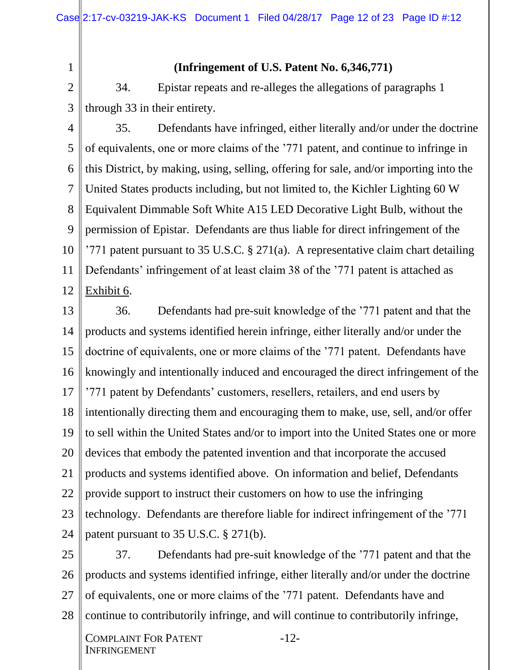1 2

3

#### **(Infringement of U.S. Patent No. 6,346,771)**

34. Epistar repeats and re-alleges the allegations of paragraphs 1 through 33 in their entirety.

- 4 5 6 7 8 9 10 11 12 35. Defendants have infringed, either literally and/or under the doctrine of equivalents, one or more claims of the '771 patent, and continue to infringe in this District, by making, using, selling, offering for sale, and/or importing into the United States products including, but not limited to, the Kichler Lighting 60 W Equivalent Dimmable Soft White A15 LED Decorative Light Bulb, without the permission of Epistar. Defendants are thus liable for direct infringement of the '771 patent pursuant to 35 U.S.C.  $\S 271(a)$ . A representative claim chart detailing Defendants' infringement of at least claim 38 of the '771 patent is attached as Exhibit 6.
- 13 14 15 16 17 18 19 20 21 22 23 24 36. Defendants had pre-suit knowledge of the '771 patent and that the products and systems identified herein infringe, either literally and/or under the doctrine of equivalents, one or more claims of the '771 patent. Defendants have knowingly and intentionally induced and encouraged the direct infringement of the '771 patent by Defendants' customers, resellers, retailers, and end users by intentionally directing them and encouraging them to make, use, sell, and/or offer to sell within the United States and/or to import into the United States one or more devices that embody the patented invention and that incorporate the accused products and systems identified above. On information and belief, Defendants provide support to instruct their customers on how to use the infringing technology. Defendants are therefore liable for indirect infringement of the '771 patent pursuant to 35 U.S.C. § 271(b).
- 25 26 27 28 37. Defendants had pre-suit knowledge of the '771 patent and that the products and systems identified infringe, either literally and/or under the doctrine of equivalents, one or more claims of the '771 patent. Defendants have and continue to contributorily infringe, and will continue to contributorily infringe,

-12-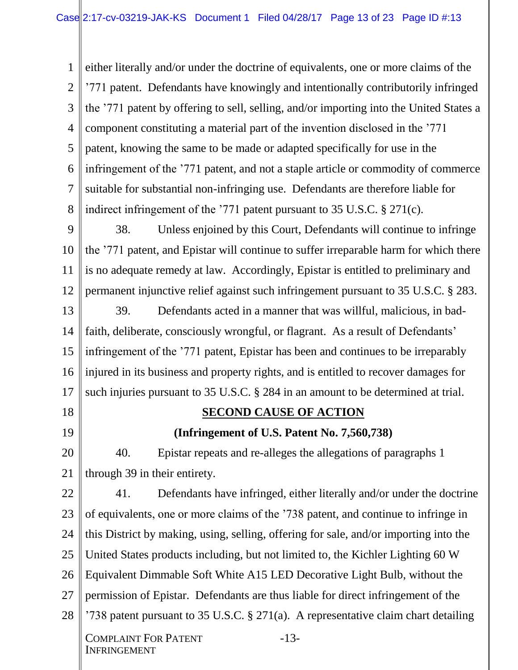1 2 3 4 5 6 7 8 either literally and/or under the doctrine of equivalents, one or more claims of the '771 patent. Defendants have knowingly and intentionally contributorily infringed the '771 patent by offering to sell, selling, and/or importing into the United States a component constituting a material part of the invention disclosed in the '771 patent, knowing the same to be made or adapted specifically for use in the infringement of the '771 patent, and not a staple article or commodity of commerce suitable for substantial non-infringing use. Defendants are therefore liable for indirect infringement of the '771 patent pursuant to 35 U.S.C. § 271(c).

9 10 11 12 38. Unless enjoined by this Court, Defendants will continue to infringe the '771 patent, and Epistar will continue to suffer irreparable harm for which there is no adequate remedy at law. Accordingly, Epistar is entitled to preliminary and permanent injunctive relief against such infringement pursuant to 35 U.S.C. § 283.

13 14 15 16 17 39. Defendants acted in a manner that was willful, malicious, in badfaith, deliberate, consciously wrongful, or flagrant. As a result of Defendants' infringement of the '771 patent, Epistar has been and continues to be irreparably injured in its business and property rights, and is entitled to recover damages for such injuries pursuant to 35 U.S.C. § 284 in an amount to be determined at trial.

18 19

## **SECOND CAUSE OF ACTION**

**(Infringement of U.S. Patent No. 7,560,738)**

20 21 40. Epistar repeats and re-alleges the allegations of paragraphs 1 through 39 in their entirety.

22 23 24 25 26 27 28 COMPLAINT FOR PATENT INFRINGEMENT -13- 41. Defendants have infringed, either literally and/or under the doctrine of equivalents, one or more claims of the '738 patent, and continue to infringe in this District by making, using, selling, offering for sale, and/or importing into the United States products including, but not limited to, the Kichler Lighting 60 W Equivalent Dimmable Soft White A15 LED Decorative Light Bulb, without the permission of Epistar. Defendants are thus liable for direct infringement of the '738 patent pursuant to 35 U.S.C. § 271(a). A representative claim chart detailing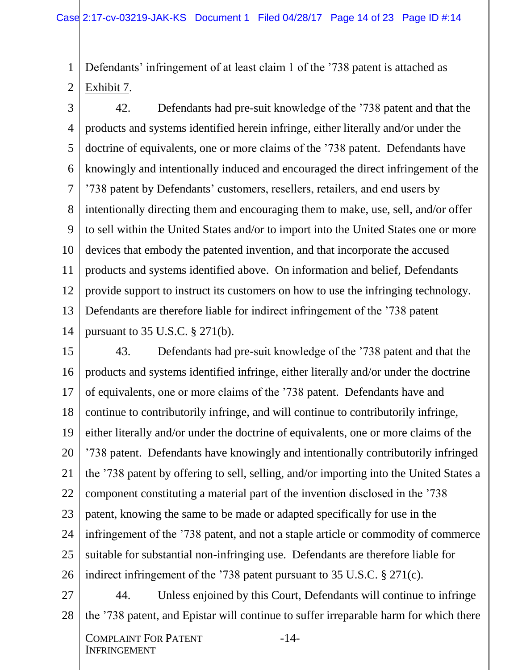1 2 Defendants' infringement of at least claim 1 of the '738 patent is attached as Exhibit 7.

3 4 5 6 7 8 9 10 11 12 13 14 42. Defendants had pre-suit knowledge of the '738 patent and that the products and systems identified herein infringe, either literally and/or under the doctrine of equivalents, one or more claims of the '738 patent. Defendants have knowingly and intentionally induced and encouraged the direct infringement of the '738 patent by Defendants' customers, resellers, retailers, and end users by intentionally directing them and encouraging them to make, use, sell, and/or offer to sell within the United States and/or to import into the United States one or more devices that embody the patented invention, and that incorporate the accused products and systems identified above. On information and belief, Defendants provide support to instruct its customers on how to use the infringing technology. Defendants are therefore liable for indirect infringement of the '738 patent pursuant to 35 U.S.C. § 271(b).

15 16 17 18 19 20 21 22 23 24 25 26 43. Defendants had pre-suit knowledge of the '738 patent and that the products and systems identified infringe, either literally and/or under the doctrine of equivalents, one or more claims of the '738 patent. Defendants have and continue to contributorily infringe, and will continue to contributorily infringe, either literally and/or under the doctrine of equivalents, one or more claims of the '738 patent. Defendants have knowingly and intentionally contributorily infringed the '738 patent by offering to sell, selling, and/or importing into the United States a component constituting a material part of the invention disclosed in the '738 patent, knowing the same to be made or adapted specifically for use in the infringement of the '738 patent, and not a staple article or commodity of commerce suitable for substantial non-infringing use. Defendants are therefore liable for indirect infringement of the '738 patent pursuant to 35 U.S.C. § 271(c).

27 28 44. Unless enjoined by this Court, Defendants will continue to infringe the '738 patent, and Epistar will continue to suffer irreparable harm for which there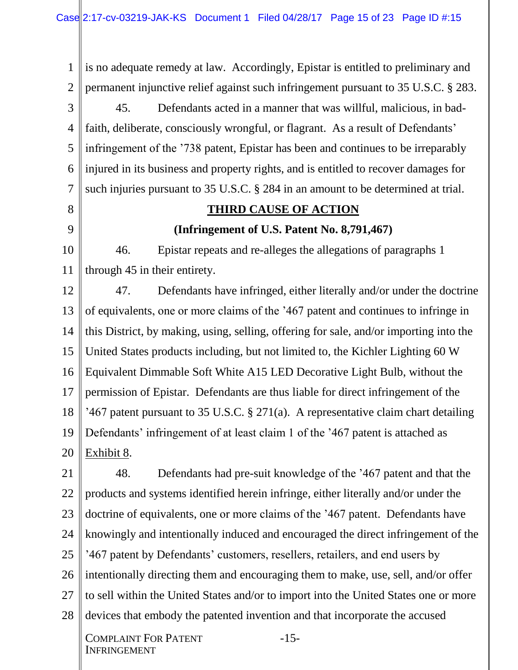1 2 3 4 5 6 7 8 9 is no adequate remedy at law. Accordingly, Epistar is entitled to preliminary and permanent injunctive relief against such infringement pursuant to 35 U.S.C. § 283. 45. Defendants acted in a manner that was willful, malicious, in badfaith, deliberate, consciously wrongful, or flagrant. As a result of Defendants' infringement of the '738 patent, Epistar has been and continues to be irreparably injured in its business and property rights, and is entitled to recover damages for such injuries pursuant to 35 U.S.C. § 284 in an amount to be determined at trial. **THIRD CAUSE OF ACTION (Infringement of U.S. Patent No. 8,791,467)**

10 11 46. Epistar repeats and re-alleges the allegations of paragraphs 1 through 45 in their entirety.

12 13 14 15 16 17 18 19 20 47. Defendants have infringed, either literally and/or under the doctrine of equivalents, one or more claims of the '467 patent and continues to infringe in this District, by making, using, selling, offering for sale, and/or importing into the United States products including, but not limited to, the Kichler Lighting 60 W Equivalent Dimmable Soft White A15 LED Decorative Light Bulb, without the permission of Epistar. Defendants are thus liable for direct infringement of the '467 patent pursuant to 35 U.S.C. § 271(a). A representative claim chart detailing Defendants' infringement of at least claim 1 of the '467 patent is attached as Exhibit 8.

21 22 23 24 25 26 27 28 48. Defendants had pre-suit knowledge of the '467 patent and that the products and systems identified herein infringe, either literally and/or under the doctrine of equivalents, one or more claims of the '467 patent. Defendants have knowingly and intentionally induced and encouraged the direct infringement of the '467 patent by Defendants' customers, resellers, retailers, and end users by intentionally directing them and encouraging them to make, use, sell, and/or offer to sell within the United States and/or to import into the United States one or more devices that embody the patented invention and that incorporate the accused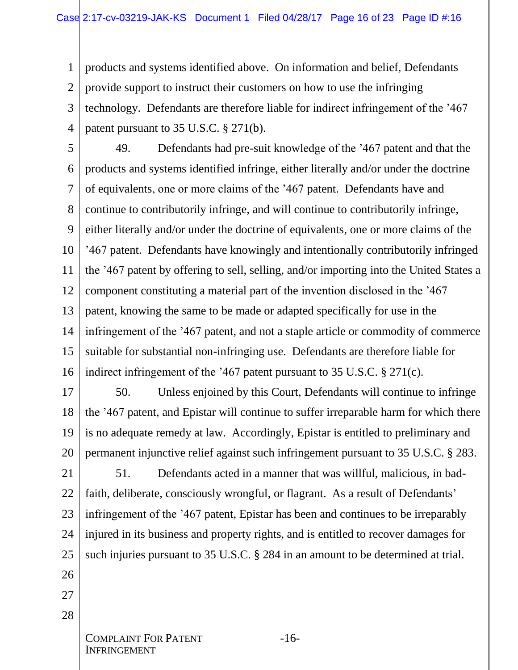1 2 3 4 products and systems identified above. On information and belief, Defendants provide support to instruct their customers on how to use the infringing technology. Defendants are therefore liable for indirect infringement of the '467 patent pursuant to 35 U.S.C. § 271(b).

5 6 7 8 9 10 11 12 13 14 15 16 49. Defendants had pre-suit knowledge of the '467 patent and that the products and systems identified infringe, either literally and/or under the doctrine of equivalents, one or more claims of the '467 patent. Defendants have and continue to contributorily infringe, and will continue to contributorily infringe, either literally and/or under the doctrine of equivalents, one or more claims of the '467 patent. Defendants have knowingly and intentionally contributorily infringed the '467 patent by offering to sell, selling, and/or importing into the United States a component constituting a material part of the invention disclosed in the '467 patent, knowing the same to be made or adapted specifically for use in the infringement of the '467 patent, and not a staple article or commodity of commerce suitable for substantial non-infringing use. Defendants are therefore liable for indirect infringement of the '467 patent pursuant to 35 U.S.C. § 271(c).

17

18 19 20 50. Unless enjoined by this Court, Defendants will continue to infringe the '467 patent, and Epistar will continue to suffer irreparable harm for which there is no adequate remedy at law. Accordingly, Epistar is entitled to preliminary and permanent injunctive relief against such infringement pursuant to 35 U.S.C. § 283.

21 22 23 24 25 51. Defendants acted in a manner that was willful, malicious, in badfaith, deliberate, consciously wrongful, or flagrant. As a result of Defendants' infringement of the '467 patent, Epistar has been and continues to be irreparably injured in its business and property rights, and is entitled to recover damages for such injuries pursuant to 35 U.S.C. § 284 in an amount to be determined at trial.

- 26
- 27
- 28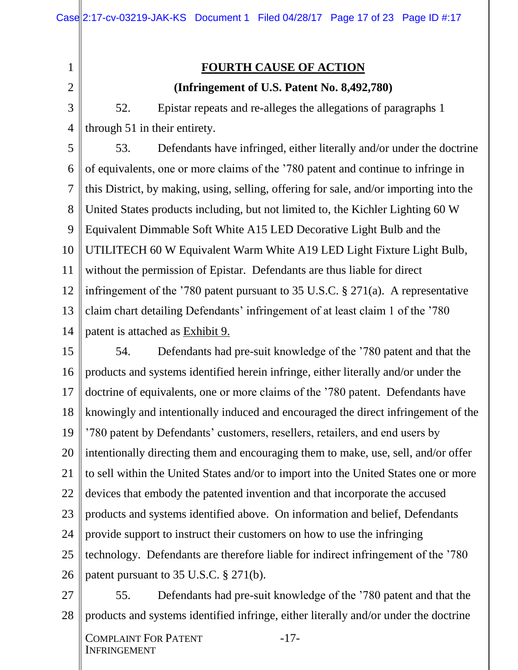2

1

### **FOURTH CAUSE OF ACTION**

#### **(Infringement of U.S. Patent No. 8,492,780)**

3 4 52. Epistar repeats and re-alleges the allegations of paragraphs 1 through 51 in their entirety.

5 6 7 8 9 10 11 12 13 14 53. Defendants have infringed, either literally and/or under the doctrine of equivalents, one or more claims of the '780 patent and continue to infringe in this District, by making, using, selling, offering for sale, and/or importing into the United States products including, but not limited to, the Kichler Lighting 60 W Equivalent Dimmable Soft White A15 LED Decorative Light Bulb and the UTILITECH 60 W Equivalent Warm White A19 LED Light Fixture Light Bulb, without the permission of Epistar. Defendants are thus liable for direct infringement of the '780 patent pursuant to 35 U.S.C. § 271(a). A representative claim chart detailing Defendants' infringement of at least claim 1 of the '780 patent is attached as Exhibit 9.

15 16 17 18 19 20 21 22 23 24 25 26 54. Defendants had pre-suit knowledge of the '780 patent and that the products and systems identified herein infringe, either literally and/or under the doctrine of equivalents, one or more claims of the '780 patent. Defendants have knowingly and intentionally induced and encouraged the direct infringement of the '780 patent by Defendants' customers, resellers, retailers, and end users by intentionally directing them and encouraging them to make, use, sell, and/or offer to sell within the United States and/or to import into the United States one or more devices that embody the patented invention and that incorporate the accused products and systems identified above. On information and belief, Defendants provide support to instruct their customers on how to use the infringing technology. Defendants are therefore liable for indirect infringement of the '780 patent pursuant to 35 U.S.C. § 271(b).

27 28 55. Defendants had pre-suit knowledge of the '780 patent and that the products and systems identified infringe, either literally and/or under the doctrine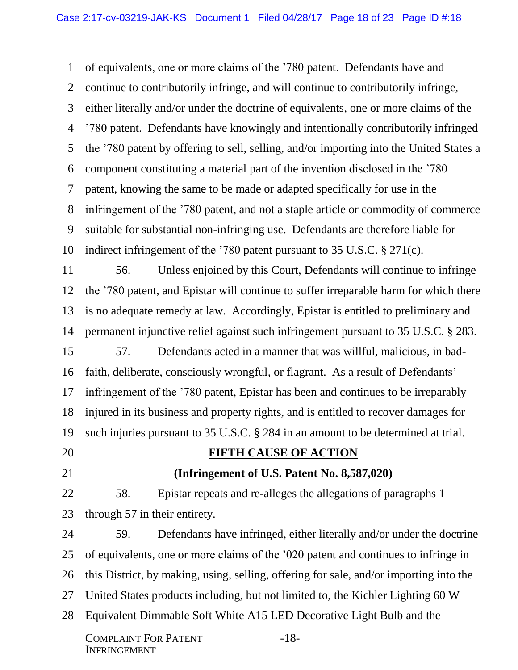1 2 3 4 5 6 7 8 9 10 of equivalents, one or more claims of the '780 patent. Defendants have and continue to contributorily infringe, and will continue to contributorily infringe, either literally and/or under the doctrine of equivalents, one or more claims of the '780 patent. Defendants have knowingly and intentionally contributorily infringed the '780 patent by offering to sell, selling, and/or importing into the United States a component constituting a material part of the invention disclosed in the '780 patent, knowing the same to be made or adapted specifically for use in the infringement of the '780 patent, and not a staple article or commodity of commerce suitable for substantial non-infringing use. Defendants are therefore liable for indirect infringement of the '780 patent pursuant to 35 U.S.C. § 271(c).

11 12 13 14 56. Unless enjoined by this Court, Defendants will continue to infringe the '780 patent, and Epistar will continue to suffer irreparable harm for which there is no adequate remedy at law. Accordingly, Epistar is entitled to preliminary and permanent injunctive relief against such infringement pursuant to 35 U.S.C. § 283.

15 16 17 18 19 57. Defendants acted in a manner that was willful, malicious, in badfaith, deliberate, consciously wrongful, or flagrant. As a result of Defendants' infringement of the '780 patent, Epistar has been and continues to be irreparably injured in its business and property rights, and is entitled to recover damages for such injuries pursuant to 35 U.S.C. § 284 in an amount to be determined at trial.

- 20
- 21
- 22

# **FIFTH CAUSE OF ACTION**

#### **(Infringement of U.S. Patent No. 8,587,020)**

23 58. Epistar repeats and re-alleges the allegations of paragraphs 1 through 57 in their entirety.

24 25 26 27 28 COMPLAINT FOR PATENT INFRINGEMENT -18- 59. Defendants have infringed, either literally and/or under the doctrine of equivalents, one or more claims of the '020 patent and continues to infringe in this District, by making, using, selling, offering for sale, and/or importing into the United States products including, but not limited to, the Kichler Lighting 60 W Equivalent Dimmable Soft White A15 LED Decorative Light Bulb and the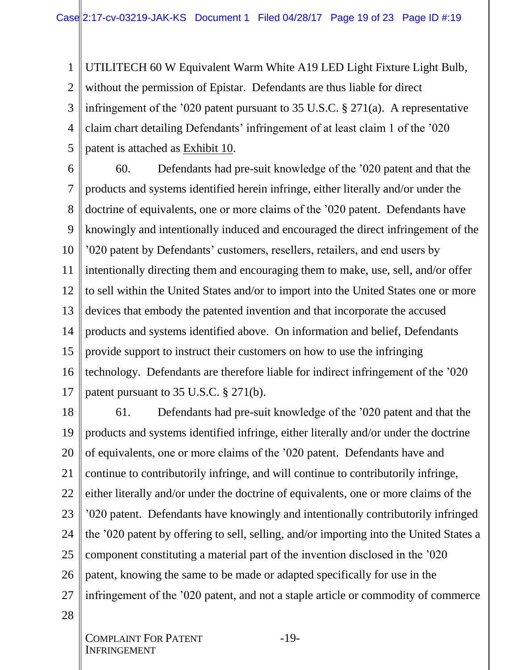1 2 3 4 5 UTILITECH 60 W Equivalent Warm White A19 LED Light Fixture Light Bulb, without the permission of Epistar. Defendants are thus liable for direct infringement of the '020 patent pursuant to 35 U.S.C. § 271(a). A representative claim chart detailing Defendants' infringement of at least claim 1 of the '020 patent is attached as Exhibit 10.

6 7 8 9 10 11 12 13 14 15 16 17 60. Defendants had pre-suit knowledge of the '020 patent and that the products and systems identified herein infringe, either literally and/or under the doctrine of equivalents, one or more claims of the '020 patent. Defendants have knowingly and intentionally induced and encouraged the direct infringement of the '020 patent by Defendants' customers, resellers, retailers, and end users by intentionally directing them and encouraging them to make, use, sell, and/or offer to sell within the United States and/or to import into the United States one or more devices that embody the patented invention and that incorporate the accused products and systems identified above. On information and belief, Defendants provide support to instruct their customers on how to use the infringing technology. Defendants are therefore liable for indirect infringement of the '020 patent pursuant to 35 U.S.C. § 271(b).

18 19 20 21 22 23 24 25 26 27 61. Defendants had pre-suit knowledge of the '020 patent and that the products and systems identified infringe, either literally and/or under the doctrine of equivalents, one or more claims of the '020 patent. Defendants have and continue to contributorily infringe, and will continue to contributorily infringe, either literally and/or under the doctrine of equivalents, one or more claims of the '020 patent. Defendants have knowingly and intentionally contributorily infringed the '020 patent by offering to sell, selling, and/or importing into the United States a component constituting a material part of the invention disclosed in the '020 patent, knowing the same to be made or adapted specifically for use in the infringement of the '020 patent, and not a staple article or commodity of commerce

28

-19-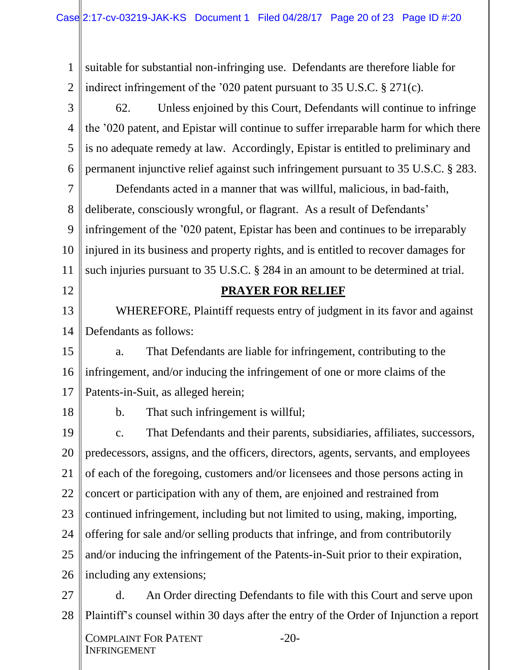1 2 suitable for substantial non-infringing use. Defendants are therefore liable for indirect infringement of the '020 patent pursuant to 35 U.S.C. § 271(c).

3 4 5 6 62. Unless enjoined by this Court, Defendants will continue to infringe the '020 patent, and Epistar will continue to suffer irreparable harm for which there is no adequate remedy at law. Accordingly, Epistar is entitled to preliminary and permanent injunctive relief against such infringement pursuant to 35 U.S.C. § 283.

7 8 9 10 11 Defendants acted in a manner that was willful, malicious, in bad-faith, deliberate, consciously wrongful, or flagrant. As a result of Defendants' infringement of the '020 patent, Epistar has been and continues to be irreparably injured in its business and property rights, and is entitled to recover damages for such injuries pursuant to 35 U.S.C. § 284 in an amount to be determined at trial.

### **PRAYER FOR RELIEF**

13 14 WHEREFORE, Plaintiff requests entry of judgment in its favor and against Defendants as follows:

15 16 17 a. That Defendants are liable for infringement, contributing to the infringement, and/or inducing the infringement of one or more claims of the Patents-in-Suit, as alleged herein;

18

12

b. That such infringement is willful;

19 20 21 22 23 24 25 26 c. That Defendants and their parents, subsidiaries, affiliates, successors, predecessors, assigns, and the officers, directors, agents, servants, and employees of each of the foregoing, customers and/or licensees and those persons acting in concert or participation with any of them, are enjoined and restrained from continued infringement, including but not limited to using, making, importing, offering for sale and/or selling products that infringe, and from contributorily and/or inducing the infringement of the Patents-in-Suit prior to their expiration, including any extensions;

27 28 d. An Order directing Defendants to file with this Court and serve upon Plaintiff's counsel within 30 days after the entry of the Order of Injunction a report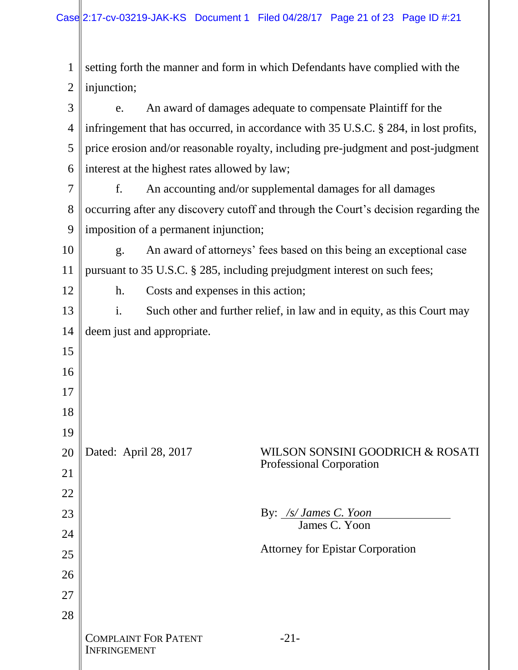$\parallel$ 

| 1              | setting forth the manner and form in which Defendants have complied with the          |                                                                                      |                                                                     |  |
|----------------|---------------------------------------------------------------------------------------|--------------------------------------------------------------------------------------|---------------------------------------------------------------------|--|
| $\overline{2}$ | injunction;                                                                           |                                                                                      |                                                                     |  |
| 3              | An award of damages adequate to compensate Plaintiff for the<br>e.                    |                                                                                      |                                                                     |  |
| $\overline{4}$ |                                                                                       | infringement that has occurred, in accordance with 35 U.S.C. § 284, in lost profits, |                                                                     |  |
| 5              |                                                                                       | price erosion and/or reasonable royalty, including pre-judgment and post-judgment    |                                                                     |  |
| 6              | interest at the highest rates allowed by law;                                         |                                                                                      |                                                                     |  |
| 7              | An accounting and/or supplemental damages for all damages<br>f.                       |                                                                                      |                                                                     |  |
| 8              | occurring after any discovery cutoff and through the Court's decision regarding the   |                                                                                      |                                                                     |  |
| 9              | imposition of a permanent injunction;                                                 |                                                                                      |                                                                     |  |
| 10             | An award of attorneys' fees based on this being an exceptional case<br>g <sub>1</sub> |                                                                                      |                                                                     |  |
| 11             | pursuant to 35 U.S.C. § 285, including prejudgment interest on such fees;             |                                                                                      |                                                                     |  |
| 12             | Costs and expenses in this action;<br>h.                                              |                                                                                      |                                                                     |  |
| 13             | i.<br>Such other and further relief, in law and in equity, as this Court may          |                                                                                      |                                                                     |  |
| 14             | deem just and appropriate.                                                            |                                                                                      |                                                                     |  |
| 15             |                                                                                       |                                                                                      |                                                                     |  |
| 16             |                                                                                       |                                                                                      |                                                                     |  |
| 17             |                                                                                       |                                                                                      |                                                                     |  |
| 18             |                                                                                       |                                                                                      |                                                                     |  |
| 19             |                                                                                       |                                                                                      |                                                                     |  |
| 20             | Dated: April 28, 2017                                                                 |                                                                                      | WILSON SONSINI GOODRICH & ROSATI<br><b>Professional Corporation</b> |  |
| 21             |                                                                                       |                                                                                      |                                                                     |  |
| 22             |                                                                                       |                                                                                      |                                                                     |  |
| 23             |                                                                                       |                                                                                      | By: /s/ James C. Yoon<br>James C. Yoon                              |  |
| 24             |                                                                                       |                                                                                      | <b>Attorney for Epistar Corporation</b>                             |  |
| 25             |                                                                                       |                                                                                      |                                                                     |  |
| 26             |                                                                                       |                                                                                      |                                                                     |  |
| 27             |                                                                                       |                                                                                      |                                                                     |  |
| 28             |                                                                                       |                                                                                      |                                                                     |  |
|                | <b>INFRINGEMENT</b>                                                                   | <b>COMPLAINT FOR PATENT</b>                                                          | $-21-$                                                              |  |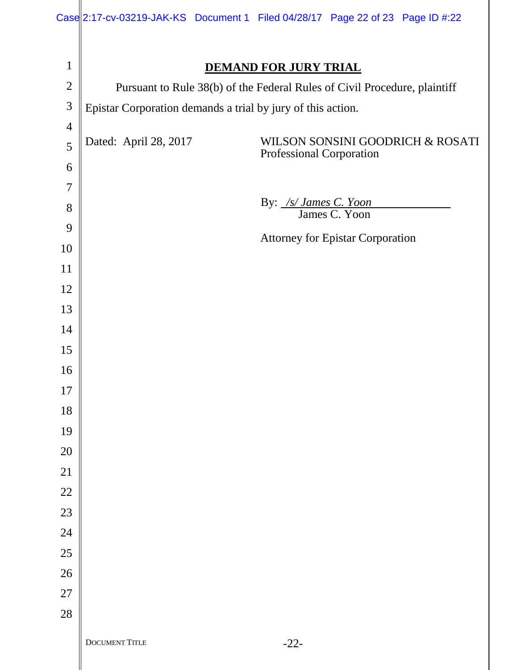|                |                                                             |  |                          | Case 2:17-cv-03219-JAK-KS Document 1 Filed 04/28/17 Page 22 of 23 Page ID #:22 |  |
|----------------|-------------------------------------------------------------|--|--------------------------|--------------------------------------------------------------------------------|--|
|                |                                                             |  |                          |                                                                                |  |
| $\mathbf{1}$   | <b>DEMAND FOR JURY TRIAL</b>                                |  |                          |                                                                                |  |
| $\mathfrak{2}$ |                                                             |  |                          | Pursuant to Rule 38(b) of the Federal Rules of Civil Procedure, plaintiff      |  |
| 3              | Epistar Corporation demands a trial by jury of this action. |  |                          |                                                                                |  |
| $\overline{4}$ |                                                             |  |                          |                                                                                |  |
| 5              | Dated: April 28, 2017                                       |  | Professional Corporation | WILSON SONSINI GOODRICH & ROSATI                                               |  |
| 6              |                                                             |  |                          |                                                                                |  |
| $\overline{7}$ |                                                             |  |                          |                                                                                |  |
| 8              |                                                             |  | By: /s/ James C. Yoon    | James C. Yoon                                                                  |  |
| 9              |                                                             |  |                          | <b>Attorney for Epistar Corporation</b>                                        |  |
| 10             |                                                             |  |                          |                                                                                |  |
| 11             |                                                             |  |                          |                                                                                |  |
| 12             |                                                             |  |                          |                                                                                |  |
| 13             |                                                             |  |                          |                                                                                |  |
| 14             |                                                             |  |                          |                                                                                |  |
| 15             |                                                             |  |                          |                                                                                |  |
| 16             |                                                             |  |                          |                                                                                |  |
| 17             |                                                             |  |                          |                                                                                |  |
| 18             |                                                             |  |                          |                                                                                |  |
| 19             |                                                             |  |                          |                                                                                |  |
| $20\,$         |                                                             |  |                          |                                                                                |  |
| 21<br>$22\,$   |                                                             |  |                          |                                                                                |  |
| 23             |                                                             |  |                          |                                                                                |  |
| 24             |                                                             |  |                          |                                                                                |  |
| 25             |                                                             |  |                          |                                                                                |  |
| 26             |                                                             |  |                          |                                                                                |  |
| $27\,$         |                                                             |  |                          |                                                                                |  |
| 28             |                                                             |  |                          |                                                                                |  |
|                |                                                             |  |                          |                                                                                |  |
|                | DOCUMENT TITLE                                              |  | $-22-$                   |                                                                                |  |

║